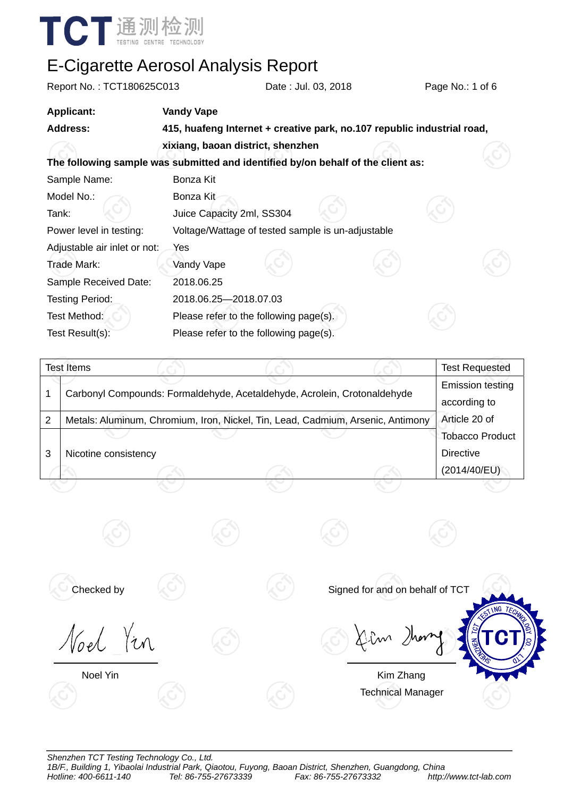

| Report No.: TCT180625C013                                                        |                                        | Date: Jul. 03, 2018                                                     | Page No.: 1 of 6 |
|----------------------------------------------------------------------------------|----------------------------------------|-------------------------------------------------------------------------|------------------|
| <b>Applicant:</b>                                                                | <b>Vandy Vape</b>                      |                                                                         |                  |
| <b>Address:</b>                                                                  |                                        | 415, huafeng Internet + creative park, no.107 republic industrial road, |                  |
|                                                                                  | xixiang, baoan district, shenzhen      |                                                                         |                  |
| The following sample was submitted and identified by/on behalf of the client as: |                                        |                                                                         |                  |
| Sample Name:                                                                     | Bonza Kit                              |                                                                         |                  |
| Model No.:                                                                       | Bonza Kit                              |                                                                         |                  |
| Tank:                                                                            | Juice Capacity 2ml, SS304              |                                                                         |                  |
| Power level in testing:                                                          |                                        | Voltage/Wattage of tested sample is un-adjustable                       |                  |
| Adjustable air inlet or not:                                                     | Yes                                    |                                                                         |                  |
| Trade Mark:                                                                      | Vandy Vape                             |                                                                         |                  |
| Sample Received Date:                                                            | 2018.06.25                             |                                                                         |                  |
| <b>Testing Period:</b>                                                           | 2018.06.25-2018.07.03                  |                                                                         |                  |
| Test Method:                                                                     | Please refer to the following page(s). |                                                                         |                  |
| Test Result(s):                                                                  | Please refer to the following page(s). |                                                                         |                  |

|   | Test Items           |                                                                                 | <b>Test Requested</b>                   |
|---|----------------------|---------------------------------------------------------------------------------|-----------------------------------------|
|   |                      | Carbonyl Compounds: Formaldehyde, Acetaldehyde, Acrolein, Crotonaldehyde        | <b>Emission testing</b><br>according to |
| 2 |                      | Metals: Aluminum, Chromium, Iron, Nickel, Tin, Lead, Cadmium, Arsenic, Antimony | Article 20 of                           |
|   |                      |                                                                                 | Tobacco Product                         |
| 3 | Nicotine consistency |                                                                                 | Directive                               |
|   |                      |                                                                                 | (2014/40/EU)                            |

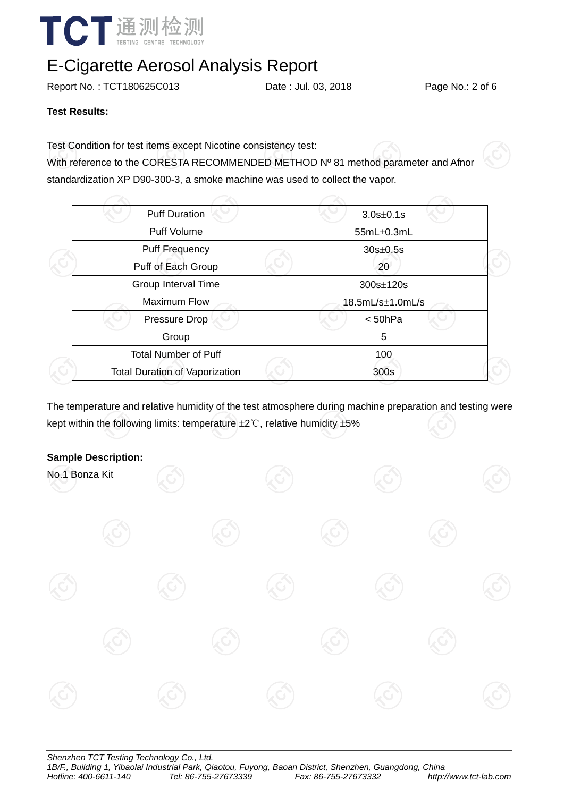

Report No. : TCT180625C013 Date : Jul. 03, 2018 Page No.: 2 of 6

#### **Test Results:**

Test Condition for test items except Nicotine consistency test:

With reference to the CORESTA RECOMMENDED METHOD Nº 81 method parameter and Afnor standardization XP D90-300-3, a smoke machine was used to collect the vapor.

| <b>Puff Duration</b>                  | $3.0s \pm 0.1s$      |  |
|---------------------------------------|----------------------|--|
| <b>Puff Volume</b>                    | 55mL±0.3mL           |  |
| <b>Puff Frequency</b>                 | $30s \pm 0.5s$       |  |
| Puff of Each Group                    | 20                   |  |
| Group Interval Time                   | $300s \pm 120s$      |  |
| <b>Maximum Flow</b>                   | $18.5mL/s\pm1.0mL/s$ |  |
| Pressure Drop                         | < 50hPa              |  |
| Group                                 | 5                    |  |
| <b>Total Number of Puff</b>           | 100                  |  |
| <b>Total Duration of Vaporization</b> | 300s                 |  |
|                                       |                      |  |

The temperature and relative humidity of the test atmosphere during machine preparation and testing were kept within the following limits: temperature ±2℃, relative humidity ±5%

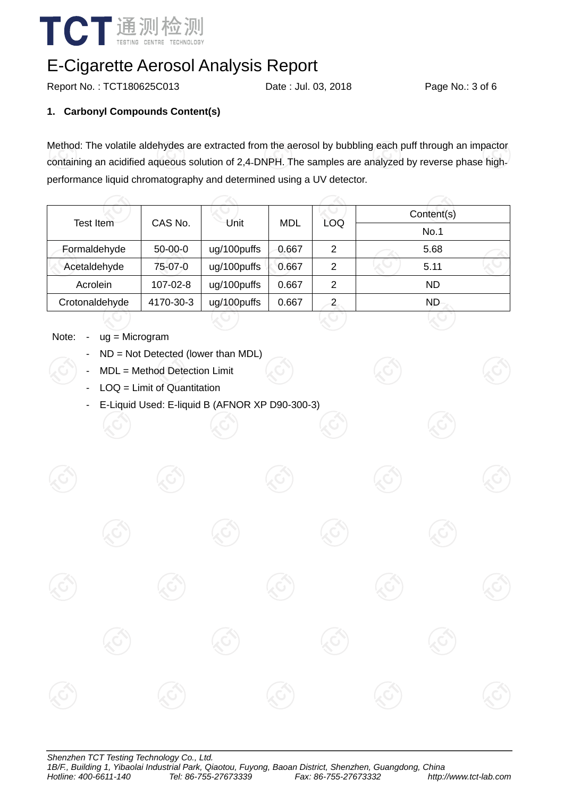

Report No. : TCT180625C013 Date : Jul. 03, 2018 Page No.: 3 of 6

#### **1. Carbonyl Compounds Content(s)**

Method: The volatile aldehydes are extracted from the aerosol by bubbling each puff through an impactor containing an acidified aqueous solution of 2,4DNPH. The samples are analyzed by reverse phase highperformance liquid chromatography and determined using a UV detector.

| Test Item      | CAS No.   | Unit        | MDL   | LOQ            | Content(s) |  |  |
|----------------|-----------|-------------|-------|----------------|------------|--|--|
|                |           |             |       |                | No.1       |  |  |
| Formaldehyde   | $50-00-0$ | ug/100puffs | 0.667 | $\overline{2}$ | 5.68       |  |  |
| Acetaldehyde   | 75-07-0   | ug/100puffs | 0.667 | 2              | 5.11       |  |  |
| Acrolein       | 107-02-8  | ug/100puffs | 0.667 | 2              | <b>ND</b>  |  |  |
| Crotonaldehyde | 4170-30-3 | ug/100puffs | 0.667 | 2              | ND.        |  |  |

- Note: ug = Microgram
	- $ND = Not$  Detected (lower than MDL)
	- MDL = Method Detection Limit
	- $LOQ =$  Limit of Quantitation
	- E-Liquid Used: E-liquid B (AFNOR XP D90-300-3)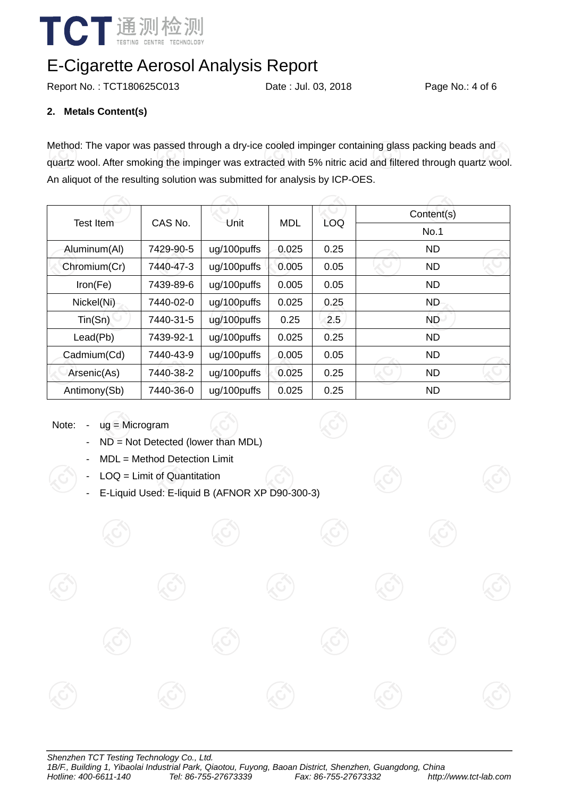

Report No. : TCT180625C013 Date : Jul. 03, 2018 Page No.: 4 of 6

#### **2. Metals Content(s)**

Method: The vapor was passed through a dry-ice cooled impinger containing glass packing beads and quartz wool. After smoking the impinger was extracted with 5% nitric acid and filtered through quartz wool. An aliquot of the resulting solution was submitted for analysis by ICP-OES.

|              |           |             | <b>MDL</b> | <b>LOQ</b> | Content(s) |  |  |
|--------------|-----------|-------------|------------|------------|------------|--|--|
| Test Item    | CAS No.   | Unit        |            |            | No.1       |  |  |
| Aluminum(Al) | 7429-90-5 | ug/100puffs | 0.025      | 0.25       | <b>ND</b>  |  |  |
| Chromium(Cr) | 7440-47-3 | ug/100puffs | 0.005      | 0.05       | <b>ND</b>  |  |  |
| Iron(Fe)     | 7439-89-6 | ug/100puffs | 0.005      | 0.05       | <b>ND</b>  |  |  |
| Nickel(Ni)   | 7440-02-0 | ug/100puffs | 0.025      | 0.25       | <b>ND</b>  |  |  |
| Tin(Sn)      | 7440-31-5 | ug/100puffs | 0.25       | 2.5        | <b>ND</b>  |  |  |
| Lead(Pb)     | 7439-92-1 | ug/100puffs | 0.025      | 0.25       | <b>ND</b>  |  |  |
| Cadmium(Cd)  | 7440-43-9 | ug/100puffs | 0.005      | 0.05       | <b>ND</b>  |  |  |
| Arsenic(As)  | 7440-38-2 | ug/100puffs | 0.025      | 0.25       | <b>ND</b>  |  |  |
| Antimony(Sb) | 7440-36-0 | ug/100puffs | 0.025      | 0.25       | <b>ND</b>  |  |  |

Note: - ug = Microgram

- ND = Not Detected (lower than MDL)
- MDL = Method Detection Limit
- $LOQ =$  Limit of Quantitation
- E-Liquid Used: E-liquid B (AFNOR XP D90-300-3)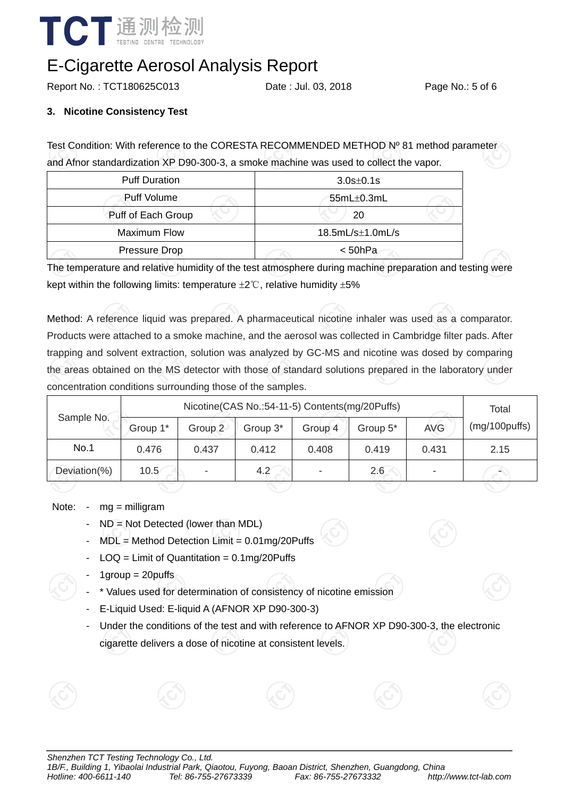

Report No. : TCT180625C013 Date : Jul. 03, 2018 Page No.: 5 of 6

#### **3. Nicotine Consistency Test**

Test Condition: With reference to the CORESTA RECOMMENDED METHOD Nº 81 method parameter and Afnor standardization XP D90-300-3, a smoke machine was used to collect the vapor.

| <b>Puff Duration</b> | $3.0s \pm 0.1s$      |  |  |
|----------------------|----------------------|--|--|
| Puff Volume          | $55mL\pm0.3mL$       |  |  |
| Puff of Each Group   | 20                   |  |  |
| <b>Maximum Flow</b>  | $18.5mL/s\pm1.0mL/s$ |  |  |
| Pressure Drop        | < 50hPa              |  |  |

The temperature and relative humidity of the test atmosphere during machine preparation and testing were kept within the following limits: temperature  $\pm 2^{\circ}$ C, relative humidity  $\pm 5\%$ 

Method: A reference liquid was prepared. A pharmaceutical nicotine inhaler was used as a comparator. Products were attached to a smoke machine, and the aerosol was collected in Cambridge filter pads. After trapping and solvent extraction, solution was analyzed by GC-MS and nicotine was dosed by comparing the areas obtained on the MS detector with those of standard solutions prepared in the laboratory under concentration conditions surrounding those of the samples.

| Sample No.   | Nicotine(CAS No.:54-11-5) Contents(mg/20Puffs) |         |             |                          |          |            | Total         |
|--------------|------------------------------------------------|---------|-------------|--------------------------|----------|------------|---------------|
|              | Group 1*                                       | Group 2 | Group 3*    | Group 4                  | Group 5* | <b>AVG</b> | (mg/100puffs) |
| No.1         | 0.476                                          | 0.437   | 0.412       | 0.408                    | 0.419    | 0.431      | 2.15          |
| Deviation(%) | 10.5                                           | ٠       | $4.2^\circ$ | $\overline{\phantom{0}}$ | 2.6      |            |               |

Note: - mg = milligram

- ND = Not Detected (lower than MDL)
- MDL = Method Detection Limit = 0.01mg/20Puffs
- $\text{LOQ} = \text{Limit of Quantitation} = 0.1\text{mg}/20\text{Puffs}$
- $1$ group = 20puffs
- \* Values used for determination of consistency of nicotine emission
- E-Liquid Used: E-liquid A (AFNOR XP D90-300-3)
- Under the conditions of the test and with reference to AFNOR XP D90-300-3, the electronic cigarette delivers a dose of nicotine at consistent levels.